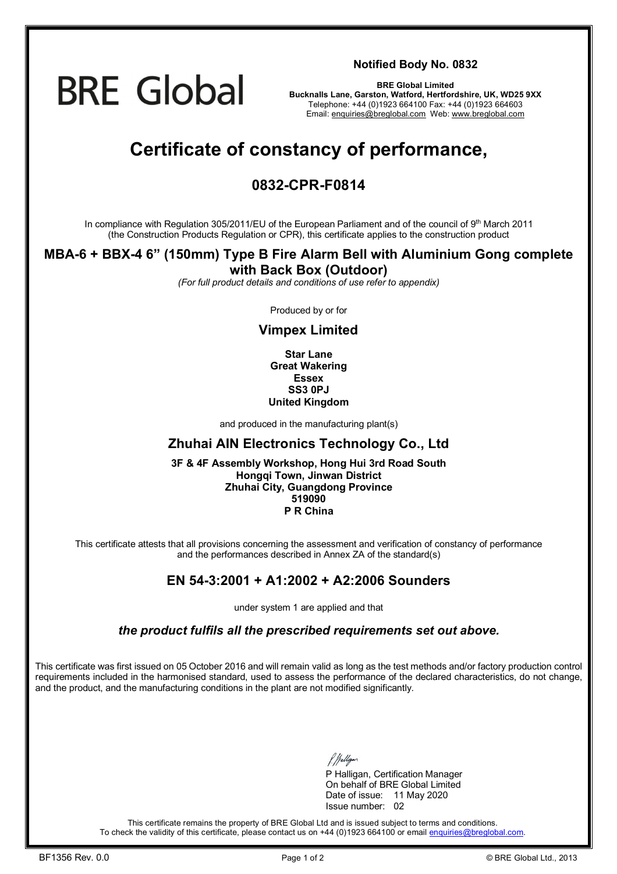

**Notified Body No. 0832**

**BRE Global Limited Bucknalls Lane, Garston, Watford, Hertfordshire, UK, WD25 9XX**  Telephone: +44 (0)1923 664100 Fax: +44 (0)1923 664603 Email: [enquiries@breglobal.com](mailto:enquiries@breglobal.com) Web: [www.breglobal.com](http://www.breglobal.com)

# **Certificate of constancy of performance,**

### **0832-CPR-F0814**

In compliance with Regulation 305/2011/EU of the European Parliament and of the council of 9th March 2011 (the Construction Products Regulation or CPR), this certificate applies to the construction product

# **MBA-6 + BBX-4 6" (150mm) Type B Fire Alarm Bell with Aluminium Gong complete**

#### **with Back Box (Outdoor)**

*(For full product details and conditions of use refer to appendix)* 

Produced by or for

#### **Vimpex Limited**

**Star Lane Great Wakering Essex SS3 0PJ United Kingdom**

and produced in the manufacturing plant(s)

#### **Zhuhai AIN Electronics Technology Co., Ltd**

**3F & 4F Assembly Workshop, Hong Hui 3rd Road South Hongqi Town, Jinwan District Zhuhai City, Guangdong Province 519090 P R China**

This certificate attests that all provisions concerning the assessment and verification of constancy of performance and the performances described in Annex ZA of the standard(s)

#### **EN 54-3:2001 + A1:2002 + A2:2006 Sounders**

under system 1 are applied and that

*the product fulfils all the prescribed requirements set out above.* 

This certificate was first issued on 05 October 2016 and will remain valid as long as the test methods and/or factory production control requirements included in the harmonised standard, used to assess the performance of the declared characteristics, do not change, and the product, and the manufacturing conditions in the plant are not modified significantly.

P Halligan, Certification Manager On behalf of BRE Global Limited Date of issue: 11 May 2020 Issue number: 02

This certificate remains the property of BRE Global Ltd and is issued subject to terms and conditions. To check the validity of this certificate, please contact us on +44 (0)1923 664100 or email [enquiries@breglobal.com.](mailto:enquiries@breglobal.com)